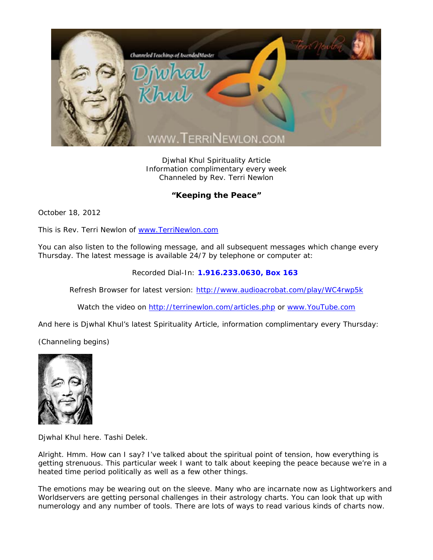

Djwhal Khul Spirituality Article Information complimentary every week Channeled by Rev. Terri Newlon

## **"Keeping the Peace"**

October 18, 2012

This is Rev. Terri Newlon of www.TerriNewlon.com

You can also listen to the following message, and all subsequent messages which change every Thursday. The latest message is available 24/7 by telephone or computer at:

Recorded Dial-In: **1.916.233.0630, Box 163** 

Refresh Browser for latest version: http://www.audioacrobat.com/play/WC4rwp5k

Watch the video on http://terrinewlon.com/articles.php or www.YouTube.com

And here is Djwhal Khul's latest Spirituality Article, information complimentary every Thursday:

(Channeling begins)



Djwhal Khul here. Tashi Delek.

Alright. Hmm. How can I say? I've talked about the spiritual point of tension, how everything is getting strenuous. This particular week I want to talk about keeping the peace because we're in a heated time period politically as well as a few other things.

The emotions may be wearing out on the sleeve. Many who are incarnate now as Lightworkers and Worldservers are getting personal challenges in their astrology charts. You can look that up with numerology and any number of tools. There are lots of ways to read various kinds of charts now.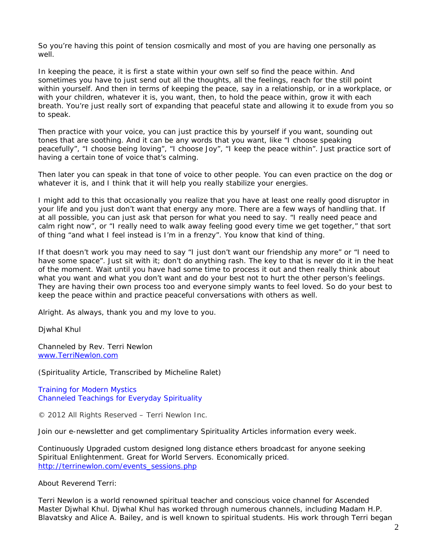So you're having this point of tension cosmically and most of you are having one personally as well.

In keeping the peace, it is first a state within your own self so find the peace within. And sometimes you have to just send out all the thoughts, all the feelings, reach for the still point within yourself. And then in terms of keeping the peace, say in a relationship, or in a workplace, or with your children, whatever it is, you want, then, to hold the peace within, grow it with each breath. You're just really sort of expanding that peaceful state and allowing it to exude from you so to speak.

Then practice with your voice, you can just practice this by yourself if you want, sounding out tones that are soothing. And it can be any words that you want, like "I choose speaking peacefully", "I choose being loving", "I choose Joy", "I keep the peace within". Just practice sort of having a certain tone of voice that's calming.

Then later you can speak in that tone of voice to other people. You can even practice on the dog or whatever it is, and I think that it will help you really stabilize your energies.

I might add to this that occasionally you realize that you have at least one really good disruptor in your life and you just don't want that energy any more. There are a few ways of handling that. If at all possible, you can just ask that person for what you need to say. "I really need peace and calm right now", or "I really need to walk away feeling good every time we get together," that sort of thing "and what I feel instead is I'm in a frenzy". You know that kind of thing.

If that doesn't work you may need to say "I just don't want our friendship any more" or "I need to have some space". Just sit with it; don't do anything rash. The key to that is never do it in the heat of the moment. Wait until you have had some time to process it out and then really think about what you want and what you don't want and do your best not to hurt the other person's feelings. They are having their own process too and everyone simply wants to feel loved. So do your best to keep the peace within and practice peaceful conversations with others as well.

Alright. As always, thank you and my love to you.

Djwhal Khul

Channeled by Rev. Terri Newlon www.TerriNewlon.com

(Spirituality Article, Transcribed by Micheline Ralet)

Training for Modern Mystics Channeled Teachings for Everyday Spirituality

© 2012 All Rights Reserved – Terri Newlon Inc.

Join our e-newsletter and get complimentary Spirituality Articles information every week.

Continuously Upgraded custom designed long distance ethers broadcast for anyone seeking Spiritual Enlightenment. Great for World Servers. Economically priced. http://terrinewlon.com/events\_sessions.php

About Reverend Terri:

Terri Newlon is a world renowned spiritual teacher and conscious voice channel for Ascended Master Djwhal Khul. Djwhal Khul has worked through numerous channels, including Madam H.P. Blavatsky and Alice A. Bailey, and is well known to spiritual students. His work through Terri began